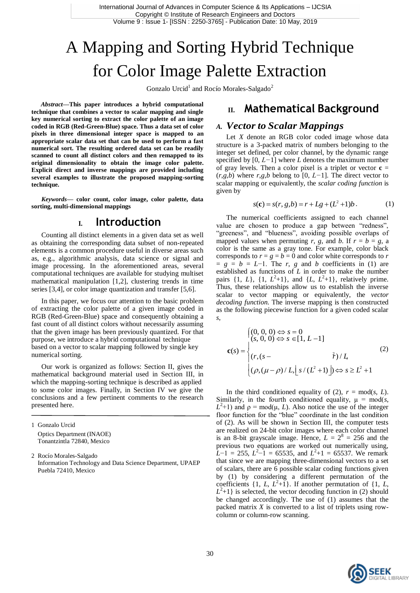# A Mapping and Sorting Hybrid Technique for Color Image Palette Extraction

Gonzalo Urcid<sup>1</sup> and Rocío Morales-Salgado<sup>2</sup>

*Abstract***—This paper introduces a hybrid computational technique that combines a vector to scalar mapping and single key numerical sorting to extract the color palette of an image coded in RGB (Red-Green-Blue) space. Thus a data set of color pixels in three dimensional integer space is mapped to an appropriate scalar data set that can be used to perform a fast numerical sort. The resulting ordered data set can be readily scanned to count all distinct colors and then remapped to its original dimensionality to obtain the image color palette. Explicit direct and inverse mappings are provided including several examples to illustrate the proposed mapping-sorting technique.**

*Keywords—* **color count, color image, color palette, data sorting, multi-dimensional mappings**

### **I. Introduction**

Counting all distinct elements in a given data set as well as obtaining the corresponding data subset of non-repeated elements is a common procedure useful in diverse areas such as, e.g., algorithmic analysis, data science or signal and image processing. In the aforementioned areas, several computational techniques are available for studying multiset mathematical manipulation [1,2], clustering trends in time series [3,4], or color image quantization and transfer [5,6].

In this paper, we focus our attention to the basic problem of extracting the color palette of a given image coded in RGB (Red-Green-Blue) space and consequently obtaining a fast count of all distinct colors without necessarily assuming that the given image has been previously quantized. For that purpose, we introduce a hybrid computational technique based on a vector to scalar mapping followed by single key numerical sorting.

Our work is organized as follows: Section II, gives the mathematical background material used in Section III, in which the mapping-sorting technique is described as applied to some color images. Finally, in Section IV we give the conclusions and a few pertinent comments to the research presented here.

1 Gonzalo Urcid Optics Department (INAOE) Tonantzintla 72840, Mexico

2 Rocío Morales-Salgado Information Technology and Data Science Department, UPAEP Puebla 72410, Mexico

# **II. Mathematical Background**

### *A. Vector to Scalar Mappings*

Let *X* denote an RGB color coded image whose data structure is a 3-packed matrix of numbers belonging to the integer set defined, per color channel, by the dynamic range specified by [0, *L−*1] where *L* denotes the maximum number of gray levels. Then a color pixel is a triplet or vector  $\mathbf{c} =$  $(r, g, b)$  where  $r, g, b$  belong to [0, *L*−1]. The direct vector to scalar mapping or equivalently, the *scalar coding function* is given by

$$
s(\mathbf{c}) = s(r, g, b) = r + Lg + (L^2 + 1)b.
$$
 (1)

The numerical coefficients assigned to each channel value are chosen to produce a gap between "redness" "greeness", and "blueness", avoiding possible overlaps of mapped values when permuting *r*, *g*, and *b*. If  $r = b = g$ , a color is the same as a gray tone. For example, color black corresponds to  $r = g = b = 0$  and color white corresponds to *r*  $= g = b = L-1$ . The *r*, *g* and *b* coefficients in (1) are established as functions of *L* in order to make the number pairs  $\{1, L\}$ ,  $\{1, L^2+1\}$ , and  $\{L, L^2+1\}$ , relatively prime. Thus, these relationships allow us to establish the inverse scalar to vector mapping or equivalently, the *vector decoding function*. The inverse mapping is then constructed as the following piecewise function for a given coded scalar *s*,

$$
\mathbf{c}(s) = \begin{cases} (0, 0, 0) \Leftrightarrow s = 0 \\ (s, 0, 0) \Leftrightarrow s \in [1, L-1] \\ (r, (s - \frac{\lambda}{r})/L] \\ (\rho, (\mu - \rho)/L, \lfloor s/(L^2 + 1) \rfloor) \Leftrightarrow s \ge L^2 + 1 \end{cases}
$$
(2)

In the third conditioned equality of (2),  $r = \text{mod}(s, L)$ . Similarly, in the fourth conditioned equality,  $\mu = \text{mod}(s)$ ,  $L^2$ +1) and  $\rho$  = mod( $\mu$ , *L*). Also notice the use of the integer floor function for the "blue" coordinate in the last condition of (2). As will be shown in Section III, the computer tests are realized on 24-bit color images where each color channel is an 8-bit grayscale image. Hence,  $L = 2^8 = 256$  and the previous two equations are worked out numerically using,  $\overline{L}$ -1 = 255,  $\overline{L}$ <sup>2</sup>-1 = 65535, and  $\overline{L}$ <sup>2</sup>+1 = 65537. We remark that since we are mapping three-dimensional vectors to a set of scalars, there are 6 possible scalar coding functions given by (1) by considering a different permutation of the coefficients  $\{1, L, L^2+1\}$ . If another permutation of  $\{1, L, L^2+1\}$  $L^2+1$ } is selected, the vector decoding function in (2) should be changed accordingly. The use of (1) assumes that the packed matrix *X* is converted to a list of triplets using rowcolumn or column-row scanning.

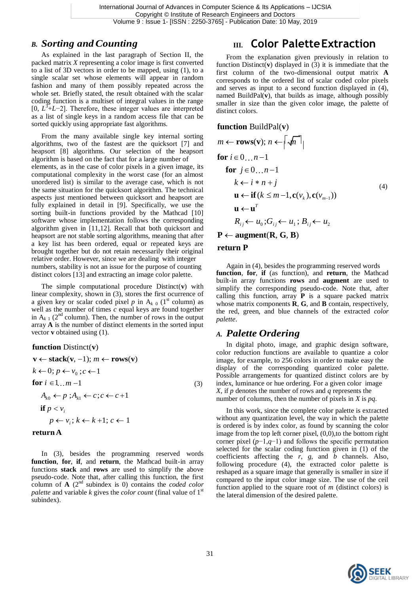### *B. Sorting andCounting*

As explained in the last paragraph of Section II, the packed matrix *X* representing a color image is first converted to a list of 3D vectors in order to be mapped, using (1), to a single scalar set whose elements will appear in random fashion and many of them possibly repeated across the whole set. Briefly stated, the result obtained with the scalar coding function is a multiset of integral values in the range [0, *L* 3 +*L*−2]. Therefore, these integer values are interpreted as a list of single keys in a random access file that can be sorted quickly using appropriate fast algorithms.

From the many available single key internal sorting algorithms, two of the fastest are the quicksort [7] and heapsort [8] algorithms. Our selection of the heapsort algorithm is based on the fact that for a large number of elements, as in the case of color pixels in a given image, its computational complexity in the worst case (for an almost unordered list) is similar to the average case, which is not the same situation for the quicksort algorithm. The technical aspects just mentioned between quicksort and heapsort are fully explained in detail in [9]. Specifically, we use the sorting built-in functions provided by the Mathcad [10] software whose implementation follows the corresponding algorithm given in [11,12]. Recall that both quicksort and heapsort are not stable sorting algorithms, meaning that after a key list has been ordered, equal or repeated keys are brought together but do not retain necessarily their original relative order. However, since we are dealing with integer numbers, stability is not an issue for the purpose of counting distinct colors [13] and extracting an image color palette.

The simple computational procedure Distinct(**v**) with linear complexity, shown in (3), stores the first ocurrence of a given key or scalar coded pixel  $p$  in  $A_{k}$  0 (1<sup>st</sup> column) as well as the number of times *c* equal keys are found together in  $A_{k,1}$  (2<sup>nd</sup> column). Then, the number of rows in the output array **A** is the number of distinct elements in the sorted input vector **v** obtained using (1).

**function** Distinct(**v**)

$$
\mathbf{v} \leftarrow \text{stack}(\mathbf{v}, -1); m \leftarrow \text{rows}(\mathbf{v})
$$
\n
$$
k \leftarrow 0; p \leftarrow v_0; c \leftarrow 1
$$
\n
$$
\text{for } i \in 1...m - 1
$$
\n
$$
A_{k0} \leftarrow p; A_{k1} \leftarrow c; c \leftarrow c + 1
$$
\n
$$
\text{if } p < v_i
$$
\n
$$
p \leftarrow v_i; k \leftarrow k + 1; c \leftarrow 1
$$
\n
$$
\text{(3)}
$$

#### **returnA**

In (3), besides the programming reserved words **function**, **for**, **if**, and **return**, the Mathcad built-in array functions **stack** and **rows** are used to simplify the above pseudo-code. Note that, after calling this function, the first column of **A** (2nd subindex is 0) contains the *coded color palette* and variable *k* gives the *color count* (final value of 1<sup>st</sup>) subindex).

# **III. Color PaletteExtraction**

From the explanation given previously in relation to function Distinct(**v**) displayed in (3) it is immediate that the first column of the two-dimensional output matrix **A**  corresponds to the ordered list of scalar coded color pixels and serves as input to a second function displayed in (4), named BuildPal(**v**), that builds as image, although possibly smaller in size than the given color image, the palette of distinct colors.

#### **function** BuildPal(**v**)

$$
m \leftarrow \text{rows(v)}; n \leftarrow \lceil \sqrt{n} \rceil
$$
\n
$$
\text{for } i \in 0...n-1
$$
\n
$$
\text{for } j \in 0...n-1
$$
\n
$$
k \leftarrow i * n + j
$$
\n
$$
\mathbf{u} \leftarrow \text{if } (k \leq m-1, \mathbf{c}(v_k), \mathbf{c}(v_{m-1}))
$$
\n
$$
\mathbf{u} \leftarrow \mathbf{u}^T
$$
\n
$$
R_{ij} \leftarrow u_0; G_{ij} \leftarrow u_1; B_{ij} \leftarrow u_2
$$
\n
$$
\mathbf{P} \leftarrow \text{augment}(\mathbf{R}, \mathbf{G}, \mathbf{B})
$$
\n(4)

#### **return P**

Again in (4), besides the programming reserved words **function**, **for**, **if** (as function), and **return**, the Mathcad built-in array functions **rows** and **augment** are used to simplify the corresponding pseudo-code. Note that, after calling this function, array **P** is a square packed matrix whose matrix components **R**, **G**, and **B** contain, respectively, the red, green, and blue channels of the extracted *color palette*.

### *A. Palette Ordering*

In digital photo, image, and graphic design software, color reduction functions are available to quantize a color image, for example, to 256 colors in order to make easy the display of the corresponding quantized color palette. Possible arrangements for quantized distinct colors are by index, luminance or hue ordering. For a given color image *X*, if *p* denotes the number of rows and *q* represents the number of columns, then the number of pixels in *X* is *pq*.

In this work, since the complete color palette is extracted without any quantization level, the way in which the palette is ordered is by index color, as found by scanning the color image from the top left corner pixel,  $(0,0)$ , to the bottom right corner pixel (*p*−1,*q*−1) and follows the specific permutation selected for the scalar coding function given in (1) of the coefficients affecting the *r*, *g*, and *b* channels. Also, following procedure (4), the extracted color palette is reshaped as a square image that generally is smaller in size if compared to the input color image size. The use of the ceil function applied to the square root of *m* (distinct colors) is the lateral dimension of the desired palette.

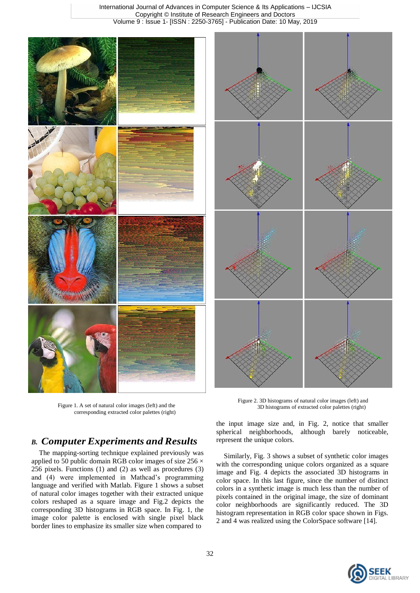

Figure 1. A set of natural color images (left) and the corresponding extracted color palettes (right)

### *B. Computer Experiments and Results*

The mapping-sorting technique explained previously was applied to 50 public domain RGB color images of size  $256 \times$ 256 pixels. Functions (1) and (2) as well as procedures (3) and (4) were implemented in Mathcad's programming language and verified with Matlab. Figure 1 shows a subset of natural color images together with their extracted unique colors reshaped as a square image and Fig.2 depicts the corresponding 3D histograms in RGB space. In Fig. 1, the image color palette is enclosed with single pixel black border lines to emphasize its smaller size when compared to

Figure 2. 3D histograms of natural color images (left) and 3D histograms of extracted color palettes (right)

the input image size and, in Fig. 2, notice that smaller spherical neighborhoods, although barely noticeable, represent the unique colors.

Similarly, Fig. 3 shows a subset of synthetic color images with the corresponding unique colors organized as a square image and Fig. 4 depicts the associated 3D histograms in color space. In this last figure, since the number of distinct colors in a synthetic image is much less than the number of pixels contained in the original image, the size of dominant color neighborhoods are significantly reduced. The 3D histogram representation in RGB color space shown in Figs. 2 and 4 was realized using the ColorSpace software [14].

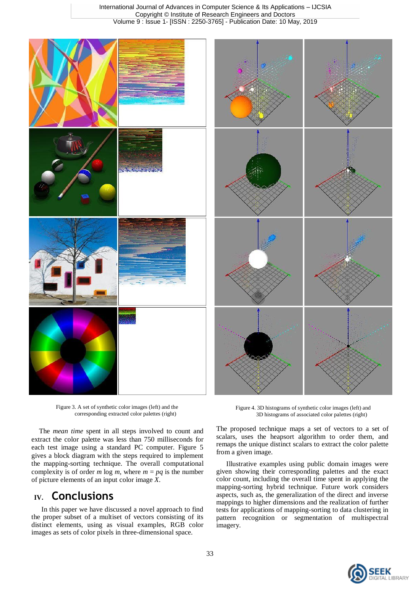

Figure 3. A set of synthetic color images (left) and the corresponding extracted color palettes (right)

The *mean time* spent in all steps involved to count and extract the color palette was less than 750 milliseconds for each test image using a standard PC computer. Figure 5 gives a block diagram with the steps required to implement the mapping-sorting technique. The overall computational complexity is of order *m*  $log m$ , where  $m = pq$  is the number of picture elements of an input color image *X*.

# **IV. Conclusions**

In this paper we have discussed a novel approach to find the proper subset of a multiset of vectors consisting of its distinct elements, using as visual examples, RGB color images as sets of color pixels in three-dimensional space.

Figure 4. 3D histograms of synthetic color images (left) and 3D histograms of associated color palettes (right)

The proposed technique maps a set of vectors to a set of scalars, uses the heapsort algorithm to order them, and remaps the unique distinct scalars to extract the color palette from a given image.

Illustrative examples using public domain images were given showing their corresponding palettes and the exact color count, including the overall time spent in applying the mapping-sorting hybrid technique. Future work considers aspects, such as, the generalization of the direct and inverse mappings to higher dimensions and the realization of further tests for applications of mapping-sorting to data clustering in pattern recognition or segmentation of multispectral imagery.